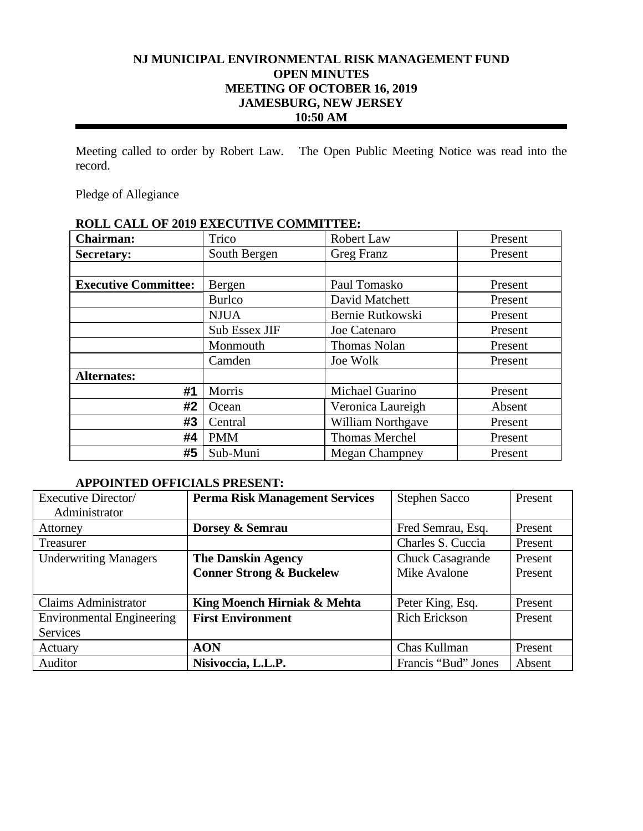# **NJ MUNICIPAL ENVIRONMENTAL RISK MANAGEMENT FUND OPEN MINUTES MEETING OF OCTOBER 16, 2019 JAMESBURG, NEW JERSEY 10:50 AM**

Meeting called to order by Robert Law. The Open Public Meeting Notice was read into the record.

Pledge of Allegiance

# **ROLL CALL OF 2019 EXECUTIVE COMMITTEE: Chairman:** Trico Robert Law Present Secretary: South Bergen Greg Franz Present **Executive Committee:** | Bergen | Paul Tomasko | Present Burlco David Matchett Present NJUA Bernie Rutkowski Present **Sub Essex JIF** Joe Catenaro Present Monmouth Thomas Nolan Present **Camden** Joe Wolk Present **Alternates: #1** | Morris | Michael Guarino | Present **#2**  $\vert$  Ocean  $\vert$  Veronica Laureigh Absent **#3** Central William Northgave Present **#4** PMM Thomas Merchel Present **#5** | Sub-Muni | Megan Champney | Present

# **APPOINTED OFFICIALS PRESENT:**

| Executive Director/              | <b>Perma Risk Management Services</b> | <b>Stephen Sacco</b>    | Present |
|----------------------------------|---------------------------------------|-------------------------|---------|
| Administrator                    |                                       |                         |         |
| Attorney                         | Dorsey & Semrau                       | Fred Semrau, Esq.       | Present |
| Treasurer                        |                                       | Charles S. Cuccia       | Present |
| <b>Underwriting Managers</b>     | <b>The Danskin Agency</b>             | <b>Chuck Casagrande</b> | Present |
|                                  | <b>Conner Strong &amp; Buckelew</b>   | Mike Avalone            | Present |
|                                  |                                       |                         |         |
| <b>Claims Administrator</b>      | King Moench Hirniak & Mehta           | Peter King, Esq.        | Present |
| <b>Environmental Engineering</b> | <b>First Environment</b>              | <b>Rich Erickson</b>    | Present |
| <b>Services</b>                  |                                       |                         |         |
| Actuary                          | <b>AON</b>                            | Chas Kullman            | Present |
| Auditor                          | Nisivoccia, L.L.P.                    | Francis "Bud" Jones     | Absent  |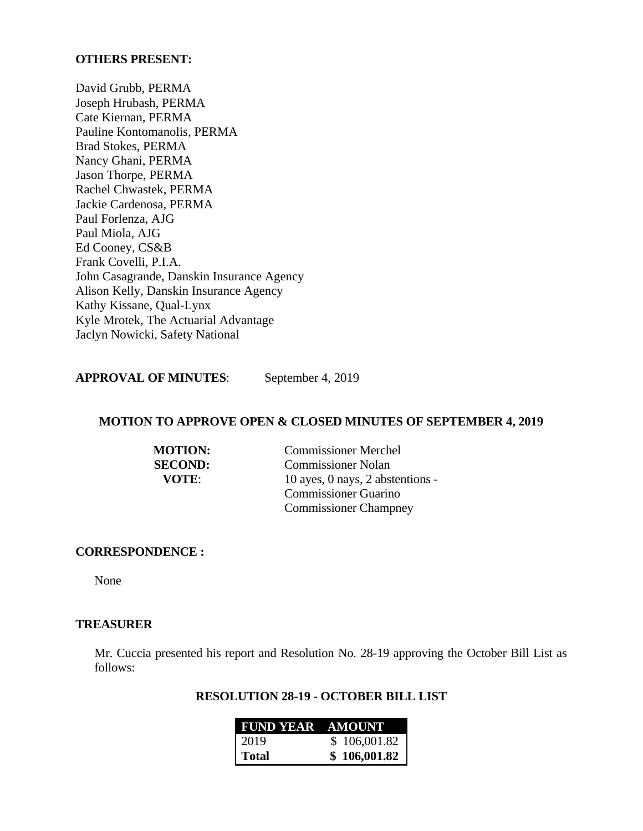### **OTHERS PRESENT:**

David Grubb, PERMA Joseph Hrubash, PERMA Cate Kiernan, PERMA Pauline Kontomanolis, PERMA Brad Stokes, PERMA Nancy Ghani, PERMA Jason Thorpe, PERMA Rachel Chwastek, PERMA Jackie Cardenosa, PERMA Paul Forlenza, AJG Paul Miola, AJG Ed Cooney, CS&B Frank Covelli, P.I.A. John Casagrande, Danskin Insurance Agency Alison Kelly, Danskin Insurance Agency Kathy Kissane, Qual-Lynx Kyle Mrotek, The Actuarial Advantage Jaclyn Nowicki, Safety National

**APPROVAL OF MINUTES**: September 4, 2019

## **MOTION TO APPROVE OPEN & CLOSED MINUTES OF SEPTEMBER 4, 2019**

| <b>MOTION:</b> | <b>Commissioner Merchel</b>      |
|----------------|----------------------------------|
| <b>SECOND:</b> | <b>Commissioner Nolan</b>        |
| <b>VOTE:</b>   | 10 ayes, 0 nays, 2 abstentions - |
|                | <b>Commissioner Guarino</b>      |
|                | <b>Commissioner Champney</b>     |

#### **CORRESPONDENCE :**

None

# **TREASURER**

Mr. Cuccia presented his report and Resolution No. 28-19 approving the October Bill List as follows:

### **RESOLUTION 28-19 - OCTOBER BILL LIST**

| <b>FUND YEAR AMOUNT</b> |              |
|-------------------------|--------------|
| 2019                    | \$106,001.82 |
| Total                   | \$106,001.82 |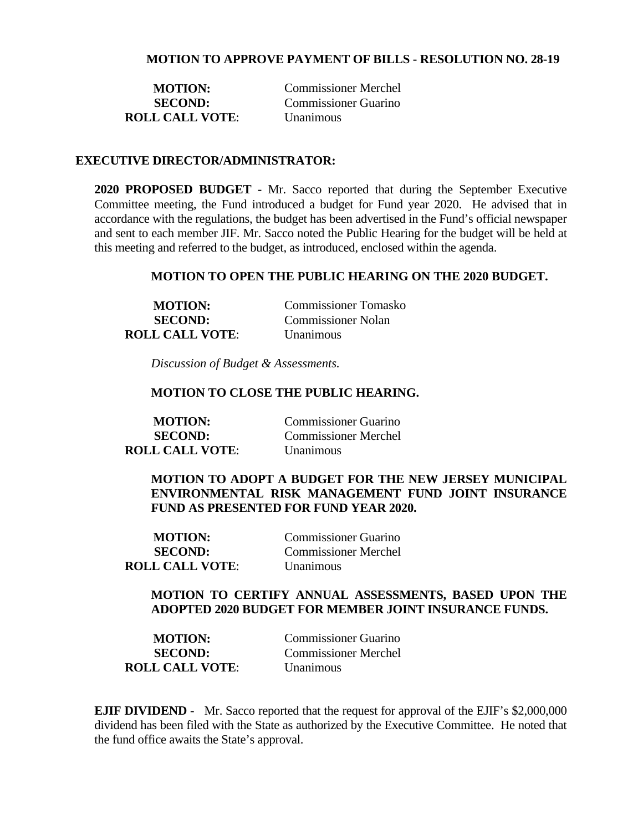### **MOTION TO APPROVE PAYMENT OF BILLS - RESOLUTION NO. 28-19**

| <b>MOTION:</b>         | Commissioner Merchel |
|------------------------|----------------------|
| <b>SECOND:</b>         | Commissioner Guarino |
| <b>ROLL CALL VOTE:</b> | <b>Unanimous</b>     |

### **EXECUTIVE DIRECTOR/ADMINISTRATOR:**

**2020 PROPOSED BUDGET -** Mr. Sacco reported that during the September Executive Committee meeting, the Fund introduced a budget for Fund year 2020. He advised that in accordance with the regulations, the budget has been advertised in the Fund's official newspaper and sent to each member JIF. Mr. Sacco noted the Public Hearing for the budget will be held at this meeting and referred to the budget, as introduced, enclosed within the agenda.

### **MOTION TO OPEN THE PUBLIC HEARING ON THE 2020 BUDGET.**

| <b>MOTION:</b>         | <b>Commissioner Tomasko</b> |
|------------------------|-----------------------------|
| <b>SECOND:</b>         | <b>Commissioner Nolan</b>   |
| <b>ROLL CALL VOTE:</b> | <i>Unanimous</i>            |

*Discussion of Budget & Assessments.* 

#### **MOTION TO CLOSE THE PUBLIC HEARING.**

**ROLL CALL VOTE**: Unanimous

**MOTION:** Commissioner Guarino **SECOND:** Commissioner Merchel

**MOTION TO ADOPT A BUDGET FOR THE NEW JERSEY MUNICIPAL ENVIRONMENTAL RISK MANAGEMENT FUND JOINT INSURANCE FUND AS PRESENTED FOR FUND YEAR 2020.** 

**MOTION:** Commissioner Guarino **SECOND:** Commissioner Merchel **ROLL CALL VOTE**: Unanimous

### **MOTION TO CERTIFY ANNUAL ASSESSMENTS, BASED UPON THE ADOPTED 2020 BUDGET FOR MEMBER JOINT INSURANCE FUNDS.**

| <b>MOTION:</b>         | Commissioner Guarino |
|------------------------|----------------------|
| <b>SECOND:</b>         | Commissioner Merchel |
| <b>ROLL CALL VOTE:</b> | <b>Unanimous</b>     |

**EJIF DIVIDEND** - Mr. Sacco reported that the request for approval of the EJIF's \$2,000,000 dividend has been filed with the State as authorized by the Executive Committee. He noted that the fund office awaits the State's approval.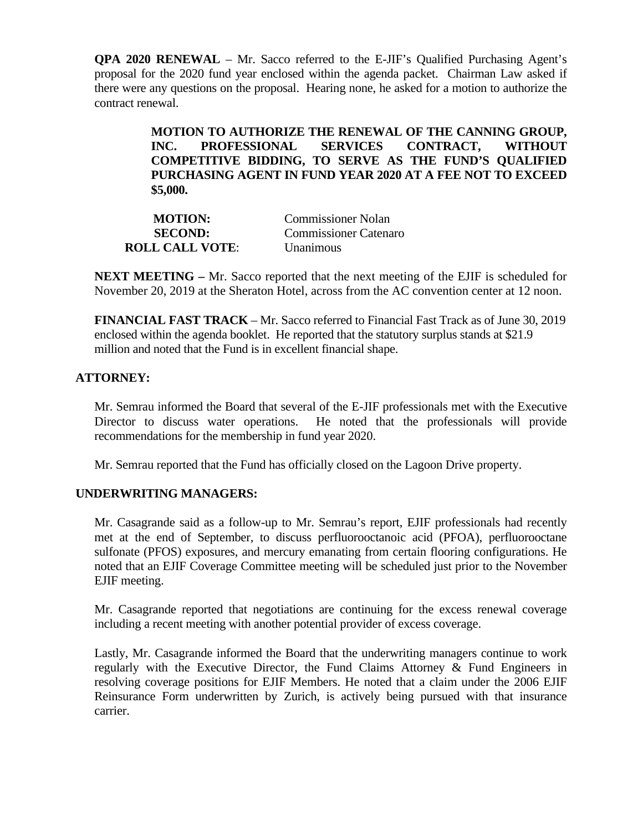**QPA 2020 RENEWAL** – Mr. Sacco referred to the E-JIF's Qualified Purchasing Agent's proposal for the 2020 fund year enclosed within the agenda packet. Chairman Law asked if there were any questions on the proposal. Hearing none, he asked for a motion to authorize the contract renewal.

> **MOTION TO AUTHORIZE THE RENEWAL OF THE CANNING GROUP, INC. PROFESSIONAL SERVICES CONTRACT, WITHOUT COMPETITIVE BIDDING, TO SERVE AS THE FUND'S QUALIFIED PURCHASING AGENT IN FUND YEAR 2020 AT A FEE NOT TO EXCEED \$5,000.**

| <b>MOTION:</b>         | <b>Commissioner Nolan</b> |
|------------------------|---------------------------|
| <b>SECOND:</b>         | Commissioner Catenaro     |
| <b>ROLL CALL VOTE:</b> | Unanimous                 |

**NEXT MEETING –** Mr. Sacco reported that the next meeting of the EJIF is scheduled for November 20, 2019 at the Sheraton Hotel, across from the AC convention center at 12 noon.

**FINANCIAL FAST TRACK** – Mr. Sacco referred to Financial Fast Track as of June 30, 2019 enclosed within the agenda booklet. He reported that the statutory surplus stands at \$21.9 million and noted that the Fund is in excellent financial shape.

# **ATTORNEY:**

Mr. Semrau informed the Board that several of the E-JIF professionals met with the Executive Director to discuss water operations. He noted that the professionals will provide recommendations for the membership in fund year 2020.

Mr. Semrau reported that the Fund has officially closed on the Lagoon Drive property.

## **UNDERWRITING MANAGERS:**

Mr. Casagrande said as a follow-up to Mr. Semrau's report, EJIF professionals had recently met at the end of September, to discuss perfluorooctanoic acid (PFOA), perfluorooctane sulfonate (PFOS) exposures, and mercury emanating from certain flooring configurations. He noted that an EJIF Coverage Committee meeting will be scheduled just prior to the November EJIF meeting.

Mr. Casagrande reported that negotiations are continuing for the excess renewal coverage including a recent meeting with another potential provider of excess coverage.

Lastly, Mr. Casagrande informed the Board that the underwriting managers continue to work regularly with the Executive Director, the Fund Claims Attorney & Fund Engineers in resolving coverage positions for EJIF Members. He noted that a claim under the 2006 EJIF Reinsurance Form underwritten by Zurich, is actively being pursued with that insurance carrier.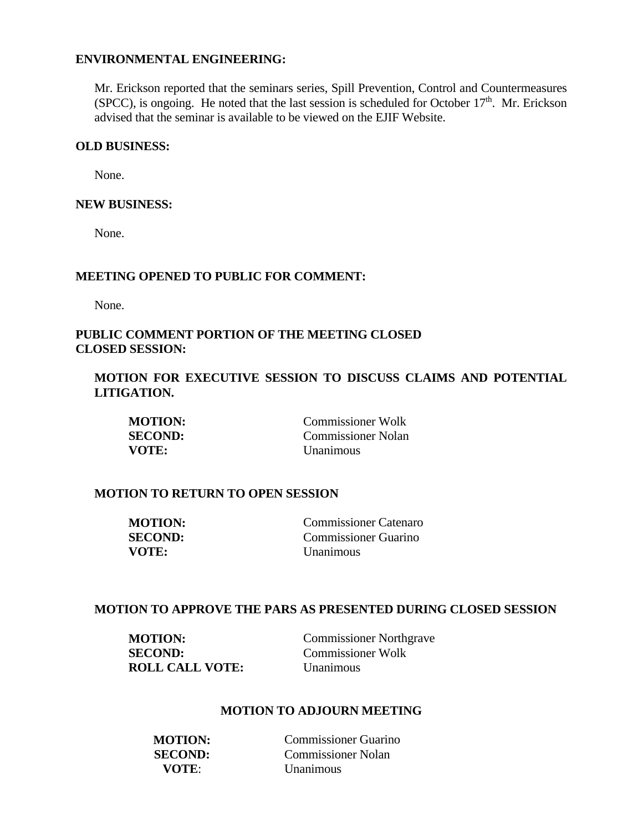### **ENVIRONMENTAL ENGINEERING:**

Mr. Erickson reported that the seminars series, Spill Prevention, Control and Countermeasures  $(SPCC)$ , is ongoing. He noted that the last session is scheduled for October  $17<sup>th</sup>$ . Mr. Erickson advised that the seminar is available to be viewed on the EJIF Website.

## **OLD BUSINESS:**

None.

### **NEW BUSINESS:**

None.

### **MEETING OPENED TO PUBLIC FOR COMMENT:**

None.

# **PUBLIC COMMENT PORTION OF THE MEETING CLOSED CLOSED SESSION:**

**MOTION FOR EXECUTIVE SESSION TO DISCUSS CLAIMS AND POTENTIAL LITIGATION.** 

| <b>MOTION:</b> | <b>Commissioner Wolk</b> |
|----------------|--------------------------|
| <b>SECOND:</b> | Commissioner Nolan       |
| VOTE:          | Unanimous                |

### **MOTION TO RETURN TO OPEN SESSION**

| <b>MOTION:</b> | <b>Commissioner Catenaro</b> |
|----------------|------------------------------|
| <b>SECOND:</b> | Commissioner Guarino         |
| VOTE:          | <i>Unanimous</i>             |

### **MOTION TO APPROVE THE PARS AS PRESENTED DURING CLOSED SESSION**

| <b>MOTION:</b>         | <b>Commissioner Northgrave</b> |
|------------------------|--------------------------------|
| <b>SECOND:</b>         | <b>Commissioner Wolk</b>       |
| <b>ROLL CALL VOTE:</b> | Unanimous                      |

## **MOTION TO ADJOURN MEETING**

| <b>MOTION:</b> | Commissioner Guarino |
|----------------|----------------------|
| <b>SECOND:</b> | Commissioner Nolan   |
| VOTE:          | Unanimous            |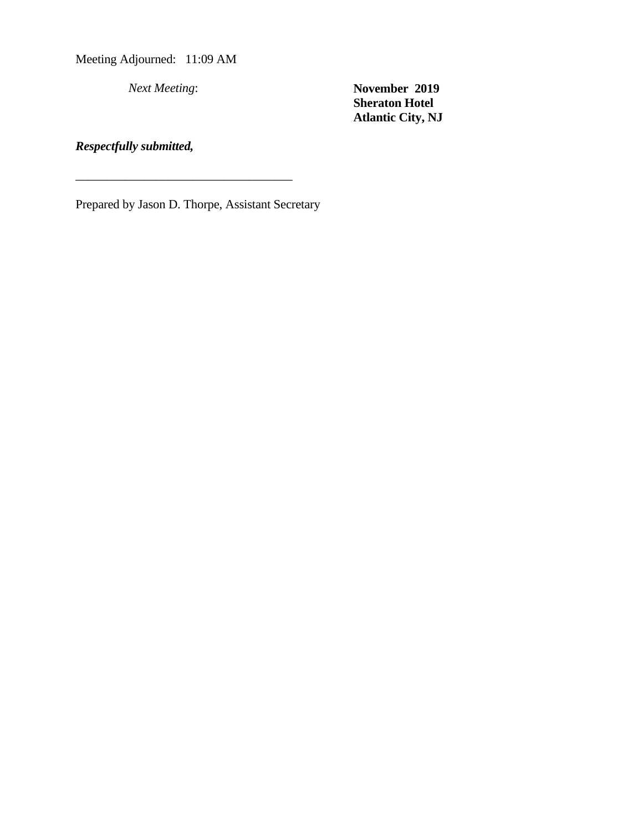Meeting Adjourned: 11:09 AM

*Next Meeting*: **November 2019 Sheraton Hotel Atlantic City, NJ** 

# *Respectfully submitted,*

Prepared by Jason D. Thorpe, Assistant Secretary

\_\_\_\_\_\_\_\_\_\_\_\_\_\_\_\_\_\_\_\_\_\_\_\_\_\_\_\_\_\_\_\_\_\_\_